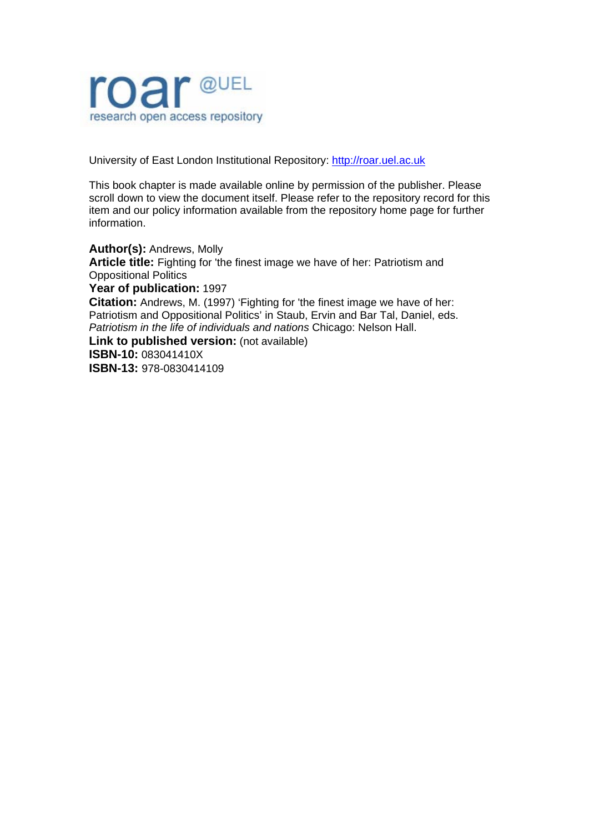

University of East London Institutional Repository: [http://roar.uel.ac.uk](http://roar.uel.ac.uk/) 

This book chapter is made available online by permission of the publisher. Please scroll down to view the document itself. Please refer to the repository record for this item and our policy information available from the repository home page for further information.

**Author(s):** Andrews, Molly **Article title:** Fighting for 'the finest image we have of her: Patriotism and Oppositional Politics **Year of publication:** 1997 **Citation:** Andrews, M. (1997) 'Fighting for 'the finest image we have of her: Patriotism and Oppositional Politics' in Staub, Ervin and Bar Tal, Daniel, eds. *Patriotism in the life of individuals and nations* Chicago: Nelson Hall. **Link to published version:** (not available) **ISBN-10:** 083041410X **ISBN-13:** 978-0830414109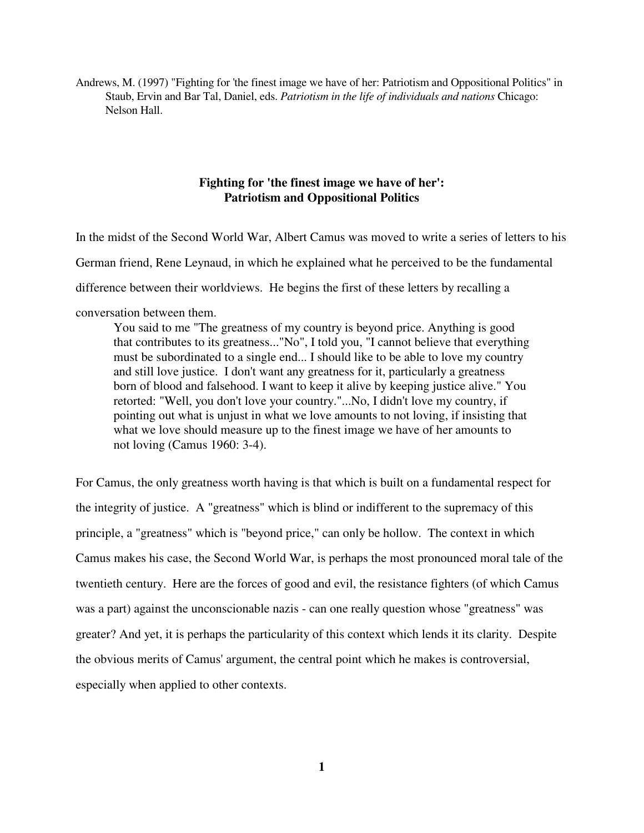Andrews, M. (1997) "Fighting for 'the finest image we have of her: Patriotism and Oppositional Politics" in Staub, Ervin and Bar Tal, Daniel, eds. *Patriotism in the life of individuals and nations* Chicago: Nelson Hall.

# **Fighting for 'the finest image we have of her': Patriotism and Oppositional Politics**

In the midst of the Second World War, Albert Camus was moved to write a series of letters to his German friend, Rene Leynaud, in which he explained what he perceived to be the fundamental difference between their worldviews. He begins the first of these letters by recalling a conversation between them. You said to me "The greatness of my country is beyond price. Anything is good

that contributes to its greatness..."No", I told you, "I cannot believe that everything must be subordinated to a single end... I should like to be able to love my country and still love justice. I don't want any greatness for it, particularly a greatness born of blood and falsehood. I want to keep it alive by keeping justice alive." You retorted: "Well, you don't love your country."...No, I didn't love my country, if pointing out what is unjust in what we love amounts to not loving, if insisting that what we love should measure up to the finest image we have of her amounts to not loving (Camus 1960: 3-4).

For Camus, the only greatness worth having is that which is built on a fundamental respect for the integrity of justice. A "greatness" which is blind or indifferent to the supremacy of this principle, a "greatness" which is "beyond price," can only be hollow. The context in which Camus makes his case, the Second World War, is perhaps the most pronounced moral tale of the twentieth century. Here are the forces of good and evil, the resistance fighters (of which Camus was a part) against the unconscionable nazis - can one really question whose "greatness" was greater? And yet, it is perhaps the particularity of this context which lends it its clarity. Despite the obvious merits of Camus' argument, the central point which he makes is controversial, especially when applied to other contexts.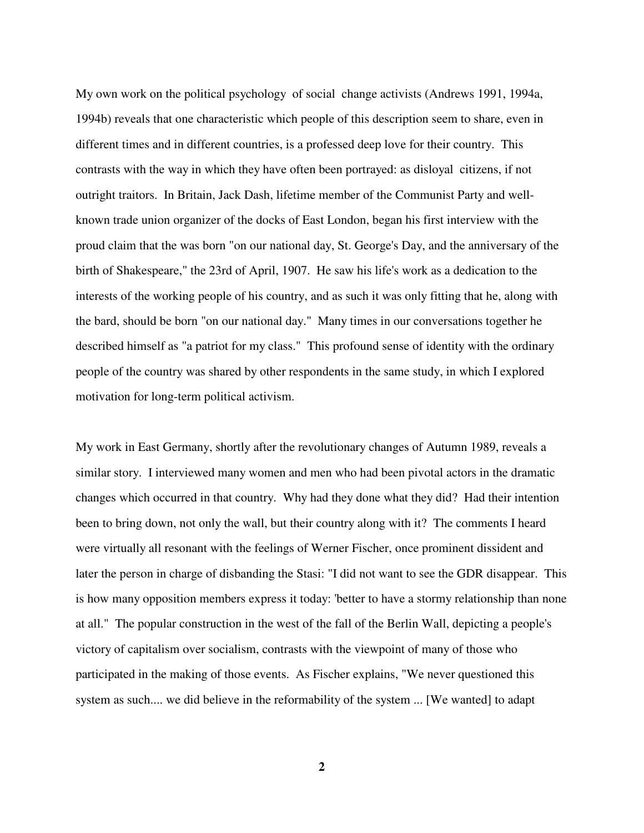My own work on the political psychology of social change activists (Andrews 1991, 1994a, 1994b) reveals that one characteristic which people of this description seem to share, even in different times and in different countries, is a professed deep love for their country. This contrasts with the way in which they have often been portrayed: as disloyal citizens, if not outright traitors. In Britain, Jack Dash, lifetime member of the Communist Party and wellknown trade union organizer of the docks of East London, began his first interview with the proud claim that the was born "on our national day, St. George's Day, and the anniversary of the birth of Shakespeare," the 23rd of April, 1907. He saw his life's work as a dedication to the interests of the working people of his country, and as such it was only fitting that he, along with the bard, should be born "on our national day." Many times in our conversations together he described himself as "a patriot for my class." This profound sense of identity with the ordinary people of the country was shared by other respondents in the same study, in which I explored motivation for long-term political activism.

My work in East Germany, shortly after the revolutionary changes of Autumn 1989, reveals a similar story. I interviewed many women and men who had been pivotal actors in the dramatic changes which occurred in that country. Why had they done what they did? Had their intention been to bring down, not only the wall, but their country along with it? The comments I heard were virtually all resonant with the feelings of Werner Fischer, once prominent dissident and later the person in charge of disbanding the Stasi: "I did not want to see the GDR disappear. This is how many opposition members express it today: 'better to have a stormy relationship than none at all." The popular construction in the west of the fall of the Berlin Wall, depicting a people's victory of capitalism over socialism, contrasts with the viewpoint of many of those who participated in the making of those events. As Fischer explains, "We never questioned this system as such.... we did believe in the reformability of the system ... [We wanted] to adapt

**2**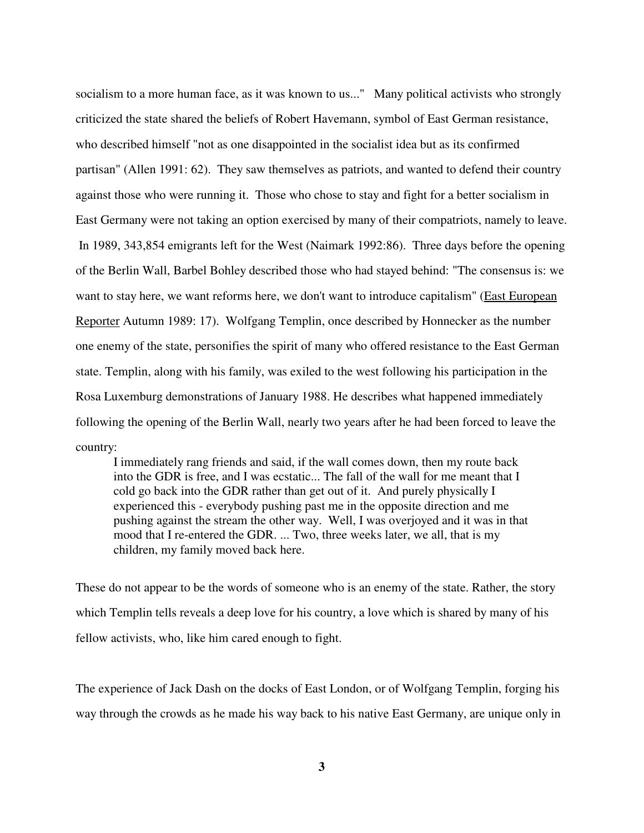socialism to a more human face, as it was known to us..." Many political activists who strongly criticized the state shared the beliefs of Robert Havemann, symbol of East German resistance, who described himself "not as one disappointed in the socialist idea but as its confirmed partisan" (Allen 1991: 62). They saw themselves as patriots, and wanted to defend their country against those who were running it. Those who chose to stay and fight for a better socialism in East Germany were not taking an option exercised by many of their compatriots, namely to leave. In 1989, 343,854 emigrants left for the West (Naimark 1992:86). Three days before the opening of the Berlin Wall, Barbel Bohley described those who had stayed behind: "The consensus is: we want to stay here, we want reforms here, we don't want to introduce capitalism" (East European Reporter Autumn 1989: 17). Wolfgang Templin, once described by Honnecker as the number one enemy of the state, personifies the spirit of many who offered resistance to the East German state. Templin, along with his family, was exiled to the west following his participation in the Rosa Luxemburg demonstrations of January 1988. He describes what happened immediately following the opening of the Berlin Wall, nearly two years after he had been forced to leave the country:

 I immediately rang friends and said, if the wall comes down, then my route back into the GDR is free, and I was ecstatic... The fall of the wall for me meant that I cold go back into the GDR rather than get out of it. And purely physically I experienced this - everybody pushing past me in the opposite direction and me pushing against the stream the other way. Well, I was overjoyed and it was in that mood that I re-entered the GDR. ... Two, three weeks later, we all, that is my children, my family moved back here.

These do not appear to be the words of someone who is an enemy of the state. Rather, the story which Templin tells reveals a deep love for his country, a love which is shared by many of his fellow activists, who, like him cared enough to fight.

The experience of Jack Dash on the docks of East London, or of Wolfgang Templin, forging his way through the crowds as he made his way back to his native East Germany, are unique only in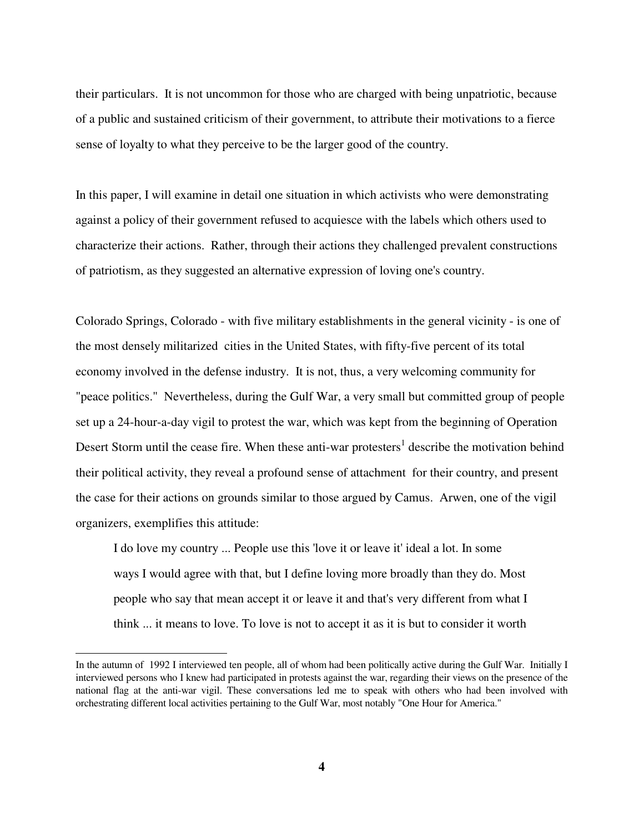their particulars. It is not uncommon for those who are charged with being unpatriotic, because of a public and sustained criticism of their government, to attribute their motivations to a fierce sense of loyalty to what they perceive to be the larger good of the country.

In this paper, I will examine in detail one situation in which activists who were demonstrating against a policy of their government refused to acquiesce with the labels which others used to characterize their actions. Rather, through their actions they challenged prevalent constructions of patriotism, as they suggested an alternative expression of loving one's country.

Colorado Springs, Colorado - with five military establishments in the general vicinity - is one of the most densely militarized cities in the United States, with fifty-five percent of its total economy involved in the defense industry. It is not, thus, a very welcoming community for "peace politics." Nevertheless, during the Gulf War, a very small but committed group of people set up a 24-hour-a-day vigil to protest the war, which was kept from the beginning of Operation Desert Storm until the cease fire. When these anti-war protesters<sup>1</sup> describe the motivation behind their political activity, they reveal a profound sense of attachment for their country, and present the case for their actions on grounds similar to those argued by Camus. Arwen, one of the vigil organizers, exemplifies this attitude:

 I do love my country ... People use this 'love it or leave it' ideal a lot. In some ways I would agree with that, but I define loving more broadly than they do. Most people who say that mean accept it or leave it and that's very different from what I think ... it means to love. To love is not to accept it as it is but to consider it worth

 $\overline{a}$ 

In the autumn of 1992 I interviewed ten people, all of whom had been politically active during the Gulf War. Initially I interviewed persons who I knew had participated in protests against the war, regarding their views on the presence of the national flag at the anti-war vigil. These conversations led me to speak with others who had been involved with orchestrating different local activities pertaining to the Gulf War, most notably "One Hour for America."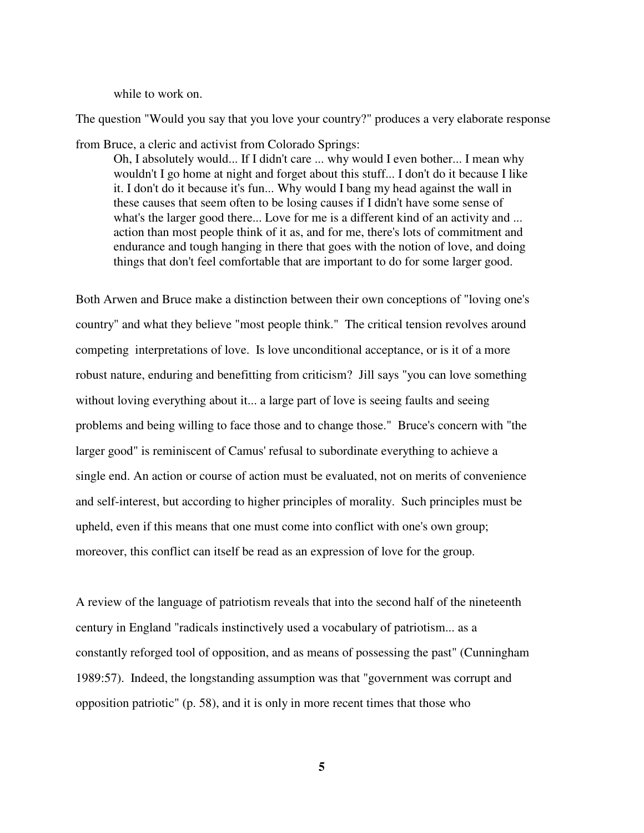while to work on.

The question "Would you say that you love your country?" produces a very elaborate response

from Bruce, a cleric and activist from Colorado Springs:

 Oh, I absolutely would... If I didn't care ... why would I even bother... I mean why wouldn't I go home at night and forget about this stuff... I don't do it because I like it. I don't do it because it's fun... Why would I bang my head against the wall in these causes that seem often to be losing causes if I didn't have some sense of what's the larger good there... Love for me is a different kind of an activity and ... action than most people think of it as, and for me, there's lots of commitment and endurance and tough hanging in there that goes with the notion of love, and doing things that don't feel comfortable that are important to do for some larger good.

Both Arwen and Bruce make a distinction between their own conceptions of "loving one's country" and what they believe "most people think." The critical tension revolves around competing interpretations of love. Is love unconditional acceptance, or is it of a more robust nature, enduring and benefitting from criticism? Jill says "you can love something without loving everything about it... a large part of love is seeing faults and seeing problems and being willing to face those and to change those." Bruce's concern with "the larger good" is reminiscent of Camus' refusal to subordinate everything to achieve a single end. An action or course of action must be evaluated, not on merits of convenience and self-interest, but according to higher principles of morality. Such principles must be upheld, even if this means that one must come into conflict with one's own group; moreover, this conflict can itself be read as an expression of love for the group.

A review of the language of patriotism reveals that into the second half of the nineteenth century in England "radicals instinctively used a vocabulary of patriotism... as a constantly reforged tool of opposition, and as means of possessing the past" (Cunningham 1989:57). Indeed, the longstanding assumption was that "government was corrupt and opposition patriotic" (p. 58), and it is only in more recent times that those who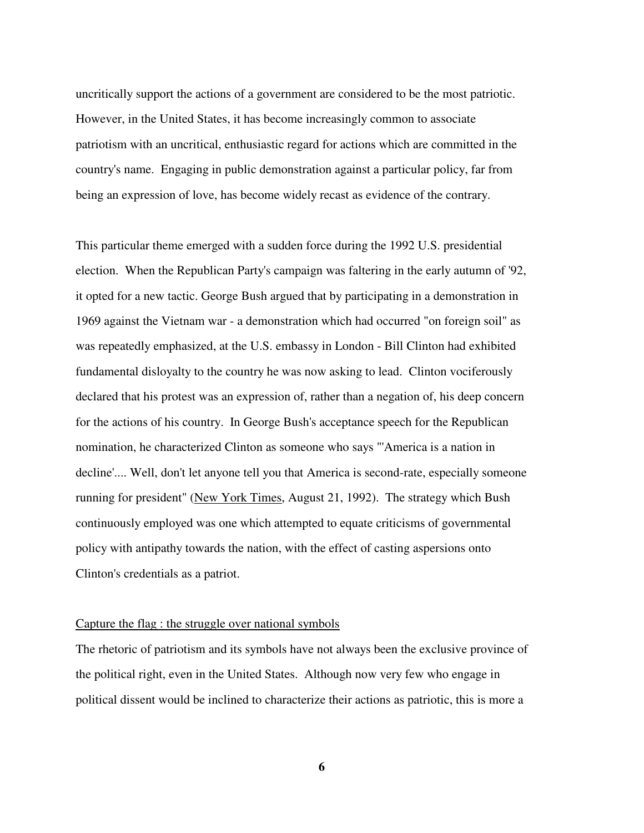uncritically support the actions of a government are considered to be the most patriotic. However, in the United States, it has become increasingly common to associate patriotism with an uncritical, enthusiastic regard for actions which are committed in the country's name. Engaging in public demonstration against a particular policy, far from being an expression of love, has become widely recast as evidence of the contrary.

This particular theme emerged with a sudden force during the 1992 U.S. presidential election. When the Republican Party's campaign was faltering in the early autumn of '92, it opted for a new tactic. George Bush argued that by participating in a demonstration in 1969 against the Vietnam war - a demonstration which had occurred "on foreign soil" as was repeatedly emphasized, at the U.S. embassy in London - Bill Clinton had exhibited fundamental disloyalty to the country he was now asking to lead. Clinton vociferously declared that his protest was an expression of, rather than a negation of, his deep concern for the actions of his country. In George Bush's acceptance speech for the Republican nomination, he characterized Clinton as someone who says "'America is a nation in decline'.... Well, don't let anyone tell you that America is second-rate, especially someone running for president" (New York Times, August 21, 1992). The strategy which Bush continuously employed was one which attempted to equate criticisms of governmental policy with antipathy towards the nation, with the effect of casting aspersions onto Clinton's credentials as a patriot.

#### Capture the flag : the struggle over national symbols

The rhetoric of patriotism and its symbols have not always been the exclusive province of the political right, even in the United States. Although now very few who engage in political dissent would be inclined to characterize their actions as patriotic, this is more a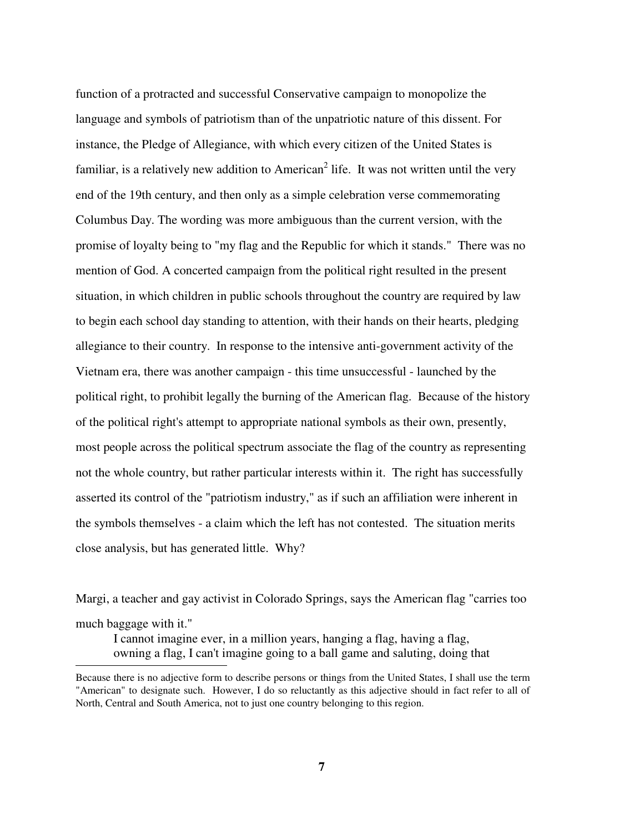function of a protracted and successful Conservative campaign to monopolize the language and symbols of patriotism than of the unpatriotic nature of this dissent. For instance, the Pledge of Allegiance, with which every citizen of the United States is familiar, is a relatively new addition to American<sup>2</sup> life. It was not written until the very end of the 19th century, and then only as a simple celebration verse commemorating Columbus Day. The wording was more ambiguous than the current version, with the promise of loyalty being to "my flag and the Republic for which it stands." There was no mention of God. A concerted campaign from the political right resulted in the present situation, in which children in public schools throughout the country are required by law to begin each school day standing to attention, with their hands on their hearts, pledging allegiance to their country. In response to the intensive anti-government activity of the Vietnam era, there was another campaign - this time unsuccessful - launched by the political right, to prohibit legally the burning of the American flag. Because of the history of the political right's attempt to appropriate national symbols as their own, presently, most people across the political spectrum associate the flag of the country as representing not the whole country, but rather particular interests within it. The right has successfully asserted its control of the "patriotism industry," as if such an affiliation were inherent in the symbols themselves - a claim which the left has not contested. The situation merits close analysis, but has generated little. Why?

Margi, a teacher and gay activist in Colorado Springs, says the American flag "carries too much baggage with it." I cannot imagine ever, in a million years, hanging a flag, having a flag,

owning a flag, I can't imagine going to a ball game and saluting, doing that

 $\overline{a}$ 

Because there is no adjective form to describe persons or things from the United States, I shall use the term "American" to designate such. However, I do so reluctantly as this adjective should in fact refer to all of North, Central and South America, not to just one country belonging to this region.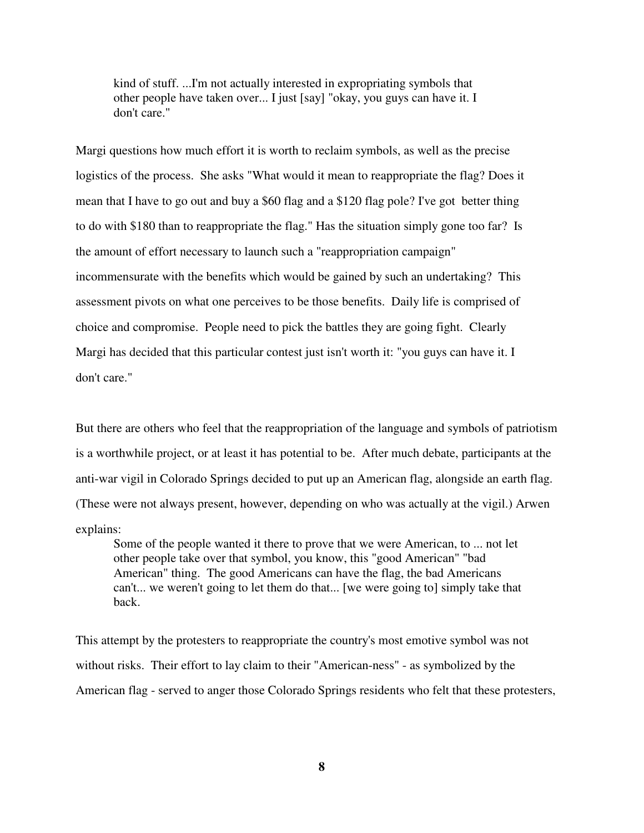kind of stuff. ...I'm not actually interested in expropriating symbols that other people have taken over... I just [say] "okay, you guys can have it. I don't care."

Margi questions how much effort it is worth to reclaim symbols, as well as the precise logistics of the process. She asks "What would it mean to reappropriate the flag? Does it mean that I have to go out and buy a \$60 flag and a \$120 flag pole? I've got better thing to do with \$180 than to reappropriate the flag." Has the situation simply gone too far? Is the amount of effort necessary to launch such a "reappropriation campaign" incommensurate with the benefits which would be gained by such an undertaking? This assessment pivots on what one perceives to be those benefits. Daily life is comprised of choice and compromise. People need to pick the battles they are going fight. Clearly Margi has decided that this particular contest just isn't worth it: "you guys can have it. I don't care."

But there are others who feel that the reappropriation of the language and symbols of patriotism is a worthwhile project, or at least it has potential to be. After much debate, participants at the anti-war vigil in Colorado Springs decided to put up an American flag, alongside an earth flag. (These were not always present, however, depending on who was actually at the vigil.) Arwen explains:

 Some of the people wanted it there to prove that we were American, to ... not let other people take over that symbol, you know, this "good American" "bad American" thing. The good Americans can have the flag, the bad Americans can't... we weren't going to let them do that... [we were going to] simply take that back.

This attempt by the protesters to reappropriate the country's most emotive symbol was not without risks. Their effort to lay claim to their "American-ness" - as symbolized by the American flag - served to anger those Colorado Springs residents who felt that these protesters,

**8**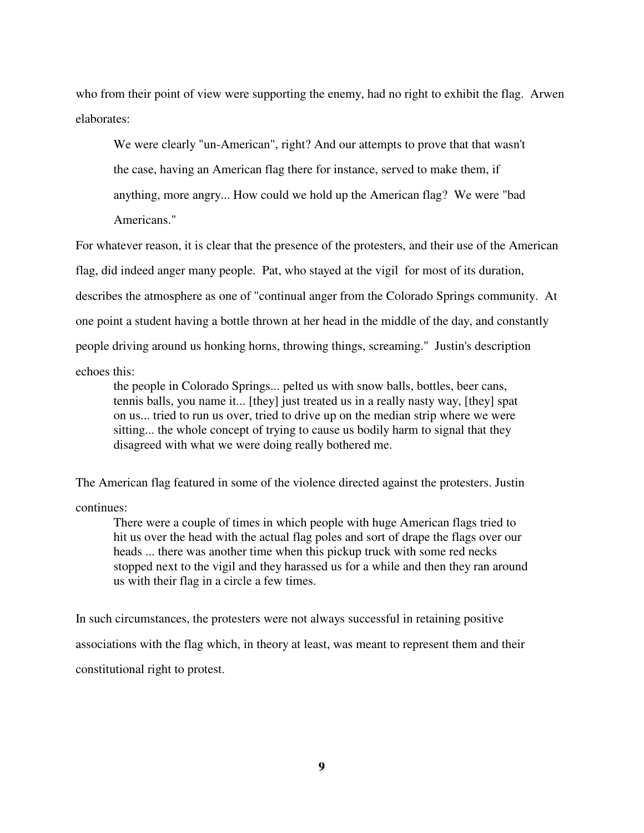who from their point of view were supporting the enemy, had no right to exhibit the flag. Arwen elaborates:

 We were clearly "un-American", right? And our attempts to prove that that wasn't the case, having an American flag there for instance, served to make them, if anything, more angry... How could we hold up the American flag? We were "bad Americans."

For whatever reason, it is clear that the presence of the protesters, and their use of the American flag, did indeed anger many people. Pat, who stayed at the vigil for most of its duration, describes the atmosphere as one of "continual anger from the Colorado Springs community. At one point a student having a bottle thrown at her head in the middle of the day, and constantly people driving around us honking horns, throwing things, screaming." Justin's description echoes this:

 the people in Colorado Springs... pelted us with snow balls, bottles, beer cans, tennis balls, you name it... [they] just treated us in a really nasty way, [they] spat on us... tried to run us over, tried to drive up on the median strip where we were sitting... the whole concept of trying to cause us bodily harm to signal that they disagreed with what we were doing really bothered me.

The American flag featured in some of the violence directed against the protesters. Justin continues:

 There were a couple of times in which people with huge American flags tried to hit us over the head with the actual flag poles and sort of drape the flags over our heads ... there was another time when this pickup truck with some red necks stopped next to the vigil and they harassed us for a while and then they ran around us with their flag in a circle a few times.

In such circumstances, the protesters were not always successful in retaining positive associations with the flag which, in theory at least, was meant to represent them and their constitutional right to protest.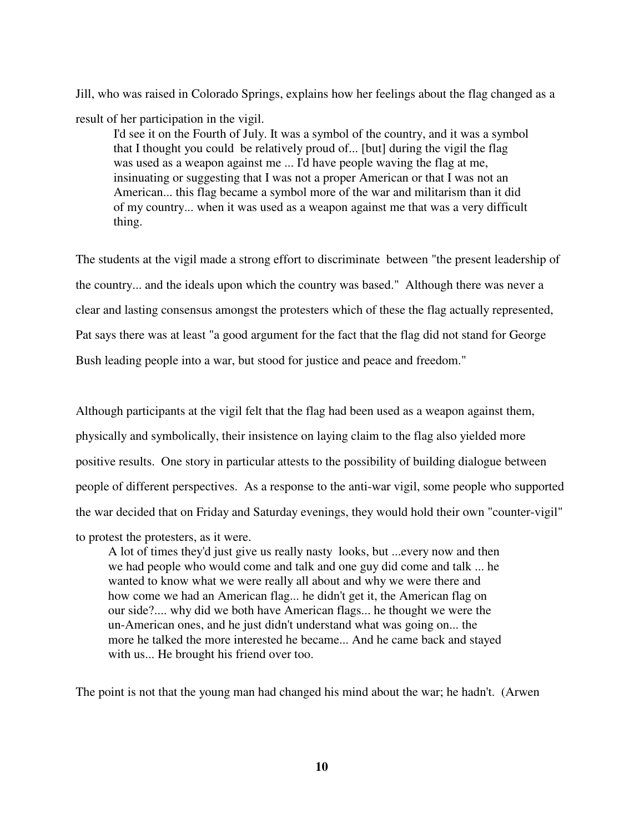Jill, who was raised in Colorado Springs, explains how her feelings about the flag changed as a result of her participation in the vigil.

 I'd see it on the Fourth of July. It was a symbol of the country, and it was a symbol that I thought you could be relatively proud of... [but] during the vigil the flag was used as a weapon against me ... I'd have people waving the flag at me, insinuating or suggesting that I was not a proper American or that I was not an American... this flag became a symbol more of the war and militarism than it did of my country... when it was used as a weapon against me that was a very difficult thing.

The students at the vigil made a strong effort to discriminate between "the present leadership of the country... and the ideals upon which the country was based." Although there was never a clear and lasting consensus amongst the protesters which of these the flag actually represented, Pat says there was at least "a good argument for the fact that the flag did not stand for George Bush leading people into a war, but stood for justice and peace and freedom."

Although participants at the vigil felt that the flag had been used as a weapon against them, physically and symbolically, their insistence on laying claim to the flag also yielded more positive results. One story in particular attests to the possibility of building dialogue between people of different perspectives. As a response to the anti-war vigil, some people who supported the war decided that on Friday and Saturday evenings, they would hold their own "counter-vigil"

to protest the protesters, as it were.

 A lot of times they'd just give us really nasty looks, but ...every now and then we had people who would come and talk and one guy did come and talk ... he wanted to know what we were really all about and why we were there and how come we had an American flag... he didn't get it, the American flag on our side?.... why did we both have American flags... he thought we were the un-American ones, and he just didn't understand what was going on... the more he talked the more interested he became... And he came back and stayed with us... He brought his friend over too.

The point is not that the young man had changed his mind about the war; he hadn't. (Arwen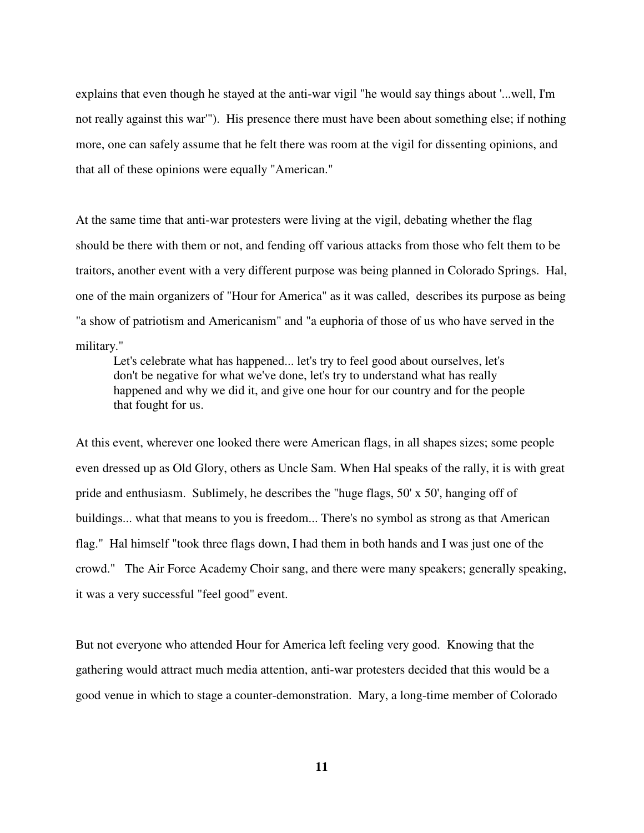explains that even though he stayed at the anti-war vigil "he would say things about '...well, I'm not really against this war'"). His presence there must have been about something else; if nothing more, one can safely assume that he felt there was room at the vigil for dissenting opinions, and that all of these opinions were equally "American."

At the same time that anti-war protesters were living at the vigil, debating whether the flag should be there with them or not, and fending off various attacks from those who felt them to be traitors, another event with a very different purpose was being planned in Colorado Springs. Hal, one of the main organizers of "Hour for America" as it was called, describes its purpose as being "a show of patriotism and Americanism" and "a euphoria of those of us who have served in the military."

 Let's celebrate what has happened... let's try to feel good about ourselves, let's don't be negative for what we've done, let's try to understand what has really happened and why we did it, and give one hour for our country and for the people that fought for us.

At this event, wherever one looked there were American flags, in all shapes sizes; some people even dressed up as Old Glory, others as Uncle Sam. When Hal speaks of the rally, it is with great pride and enthusiasm. Sublimely, he describes the "huge flags, 50' x 50', hanging off of buildings... what that means to you is freedom... There's no symbol as strong as that American flag." Hal himself "took three flags down, I had them in both hands and I was just one of the crowd." The Air Force Academy Choir sang, and there were many speakers; generally speaking, it was a very successful "feel good" event.

But not everyone who attended Hour for America left feeling very good. Knowing that the gathering would attract much media attention, anti-war protesters decided that this would be a good venue in which to stage a counter-demonstration. Mary, a long-time member of Colorado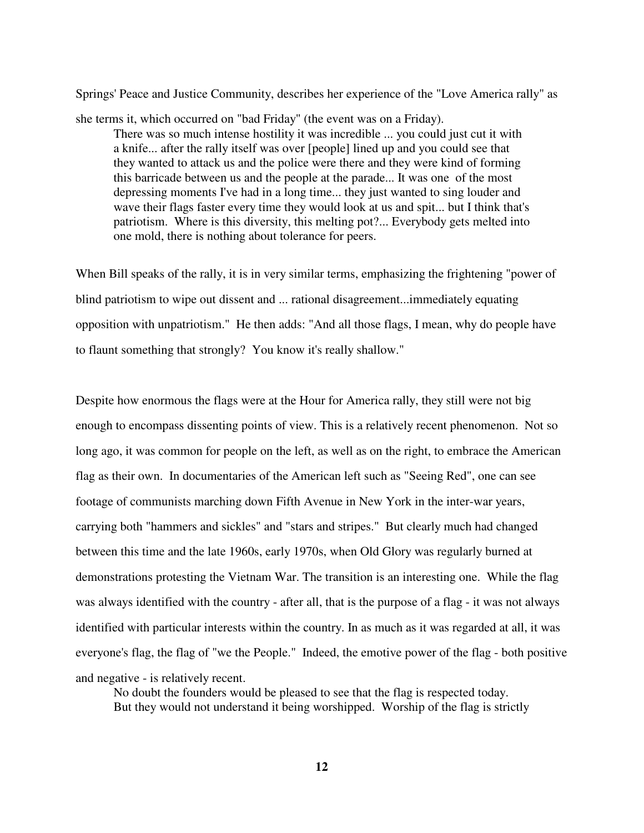Springs' Peace and Justice Community, describes her experience of the "Love America rally" as

she terms it, which occurred on "bad Friday" (the event was on a Friday).

 There was so much intense hostility it was incredible ... you could just cut it with a knife... after the rally itself was over [people] lined up and you could see that they wanted to attack us and the police were there and they were kind of forming this barricade between us and the people at the parade... It was one of the most depressing moments I've had in a long time... they just wanted to sing louder and wave their flags faster every time they would look at us and spit... but I think that's patriotism. Where is this diversity, this melting pot?... Everybody gets melted into one mold, there is nothing about tolerance for peers.

When Bill speaks of the rally, it is in very similar terms, emphasizing the frightening "power of blind patriotism to wipe out dissent and ... rational disagreement...immediately equating opposition with unpatriotism." He then adds: "And all those flags, I mean, why do people have to flaunt something that strongly? You know it's really shallow."

Despite how enormous the flags were at the Hour for America rally, they still were not big enough to encompass dissenting points of view. This is a relatively recent phenomenon. Not so long ago, it was common for people on the left, as well as on the right, to embrace the American flag as their own. In documentaries of the American left such as "Seeing Red", one can see footage of communists marching down Fifth Avenue in New York in the inter-war years, carrying both "hammers and sickles" and "stars and stripes." But clearly much had changed between this time and the late 1960s, early 1970s, when Old Glory was regularly burned at demonstrations protesting the Vietnam War. The transition is an interesting one. While the flag was always identified with the country - after all, that is the purpose of a flag - it was not always identified with particular interests within the country. In as much as it was regarded at all, it was everyone's flag, the flag of "we the People." Indeed, the emotive power of the flag - both positive and negative - is relatively recent.

 No doubt the founders would be pleased to see that the flag is respected today. But they would not understand it being worshipped. Worship of the flag is strictly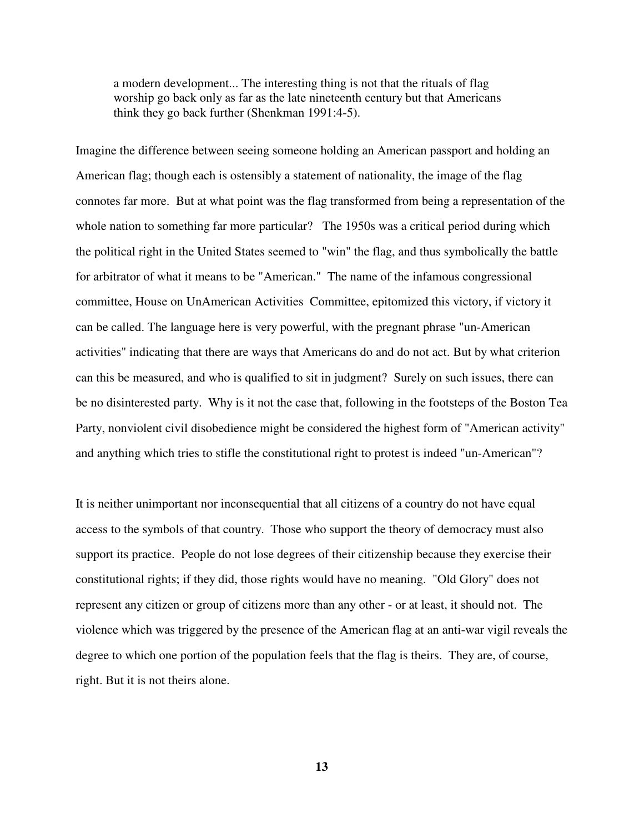a modern development... The interesting thing is not that the rituals of flag worship go back only as far as the late nineteenth century but that Americans think they go back further (Shenkman 1991:4-5).

Imagine the difference between seeing someone holding an American passport and holding an American flag; though each is ostensibly a statement of nationality, the image of the flag connotes far more. But at what point was the flag transformed from being a representation of the whole nation to something far more particular? The 1950s was a critical period during which the political right in the United States seemed to "win" the flag, and thus symbolically the battle for arbitrator of what it means to be "American." The name of the infamous congressional committee, House on UnAmerican Activities Committee, epitomized this victory, if victory it can be called. The language here is very powerful, with the pregnant phrase "un-American activities" indicating that there are ways that Americans do and do not act. But by what criterion can this be measured, and who is qualified to sit in judgment? Surely on such issues, there can be no disinterested party. Why is it not the case that, following in the footsteps of the Boston Tea Party, nonviolent civil disobedience might be considered the highest form of "American activity" and anything which tries to stifle the constitutional right to protest is indeed "un-American"?

It is neither unimportant nor inconsequential that all citizens of a country do not have equal access to the symbols of that country. Those who support the theory of democracy must also support its practice. People do not lose degrees of their citizenship because they exercise their constitutional rights; if they did, those rights would have no meaning. "Old Glory" does not represent any citizen or group of citizens more than any other - or at least, it should not. The violence which was triggered by the presence of the American flag at an anti-war vigil reveals the degree to which one portion of the population feels that the flag is theirs. They are, of course, right. But it is not theirs alone.

**13**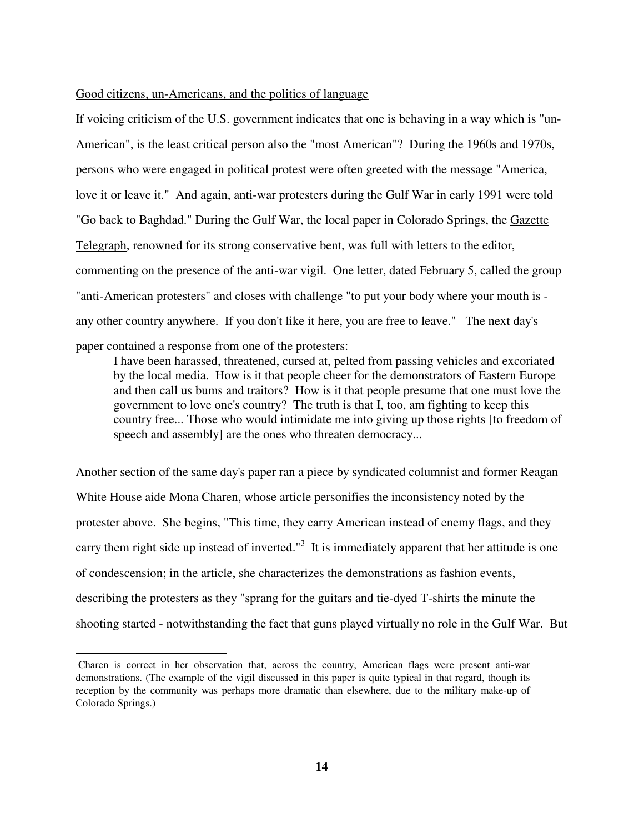#### Good citizens, un-Americans, and the politics of language

If voicing criticism of the U.S. government indicates that one is behaving in a way which is "un-American", is the least critical person also the "most American"? During the 1960s and 1970s, persons who were engaged in political protest were often greeted with the message "America, love it or leave it." And again, anti-war protesters during the Gulf War in early 1991 were told "Go back to Baghdad." During the Gulf War, the local paper in Colorado Springs, the Gazette Telegraph, renowned for its strong conservative bent, was full with letters to the editor, commenting on the presence of the anti-war vigil. One letter, dated February 5, called the group "anti-American protesters" and closes with challenge "to put your body where your mouth is any other country anywhere. If you don't like it here, you are free to leave." The next day's

paper contained a response from one of the protesters:

 $\overline{a}$ 

 I have been harassed, threatened, cursed at, pelted from passing vehicles and excoriated by the local media. How is it that people cheer for the demonstrators of Eastern Europe and then call us bums and traitors? How is it that people presume that one must love the government to love one's country? The truth is that I, too, am fighting to keep this country free... Those who would intimidate me into giving up those rights [to freedom of speech and assembly] are the ones who threaten democracy...

Another section of the same day's paper ran a piece by syndicated columnist and former Reagan White House aide Mona Charen, whose article personifies the inconsistency noted by the protester above. She begins, "This time, they carry American instead of enemy flags, and they carry them right side up instead of inverted. $13$  It is immediately apparent that her attitude is one of condescension; in the article, she characterizes the demonstrations as fashion events, describing the protesters as they "sprang for the guitars and tie-dyed T-shirts the minute the shooting started - notwithstanding the fact that guns played virtually no role in the Gulf War. But

Charen is correct in her observation that, across the country, American flags were present anti-war demonstrations. (The example of the vigil discussed in this paper is quite typical in that regard, though its reception by the community was perhaps more dramatic than elsewhere, due to the military make-up of Colorado Springs.)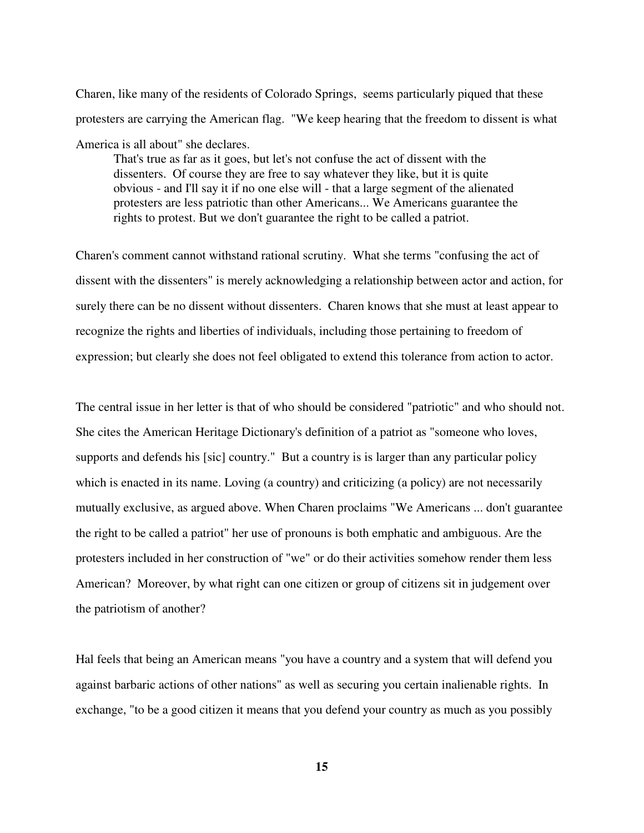Charen, like many of the residents of Colorado Springs, seems particularly piqued that these protesters are carrying the American flag. "We keep hearing that the freedom to dissent is what America is all about" she declares.

 That's true as far as it goes, but let's not confuse the act of dissent with the dissenters. Of course they are free to say whatever they like, but it is quite obvious - and I'll say it if no one else will - that a large segment of the alienated protesters are less patriotic than other Americans... We Americans guarantee the rights to protest. But we don't guarantee the right to be called a patriot.

Charen's comment cannot withstand rational scrutiny. What she terms "confusing the act of dissent with the dissenters" is merely acknowledging a relationship between actor and action, for surely there can be no dissent without dissenters. Charen knows that she must at least appear to recognize the rights and liberties of individuals, including those pertaining to freedom of expression; but clearly she does not feel obligated to extend this tolerance from action to actor.

The central issue in her letter is that of who should be considered "patriotic" and who should not. She cites the American Heritage Dictionary's definition of a patriot as "someone who loves, supports and defends his [sic] country." But a country is is larger than any particular policy which is enacted in its name. Loving (a country) and criticizing (a policy) are not necessarily mutually exclusive, as argued above. When Charen proclaims "We Americans ... don't guarantee the right to be called a patriot" her use of pronouns is both emphatic and ambiguous. Are the protesters included in her construction of "we" or do their activities somehow render them less American? Moreover, by what right can one citizen or group of citizens sit in judgement over the patriotism of another?

Hal feels that being an American means "you have a country and a system that will defend you against barbaric actions of other nations" as well as securing you certain inalienable rights. In exchange, "to be a good citizen it means that you defend your country as much as you possibly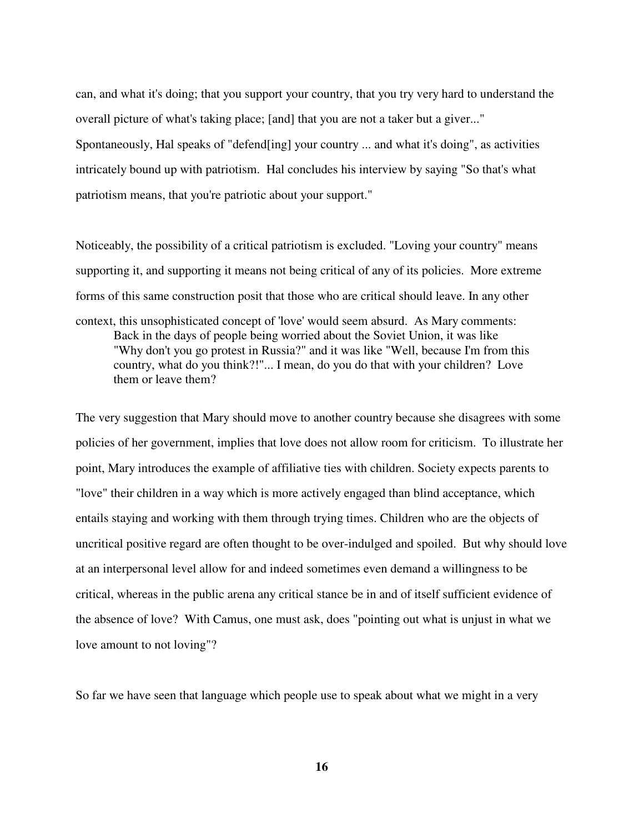can, and what it's doing; that you support your country, that you try very hard to understand the overall picture of what's taking place; [and] that you are not a taker but a giver..." Spontaneously, Hal speaks of "defend[ing] your country ... and what it's doing", as activities intricately bound up with patriotism. Hal concludes his interview by saying "So that's what patriotism means, that you're patriotic about your support."

Noticeably, the possibility of a critical patriotism is excluded. "Loving your country" means supporting it, and supporting it means not being critical of any of its policies. More extreme forms of this same construction posit that those who are critical should leave. In any other context, this unsophisticated concept of 'love' would seem absurd. As Mary comments: Back in the days of people being worried about the Soviet Union, it was like "Why don't you go protest in Russia?" and it was like "Well, because I'm from this country, what do you think?!"... I mean, do you do that with your children? Love them or leave them?

The very suggestion that Mary should move to another country because she disagrees with some policies of her government, implies that love does not allow room for criticism. To illustrate her point, Mary introduces the example of affiliative ties with children. Society expects parents to "love" their children in a way which is more actively engaged than blind acceptance, which entails staying and working with them through trying times. Children who are the objects of uncritical positive regard are often thought to be over-indulged and spoiled. But why should love at an interpersonal level allow for and indeed sometimes even demand a willingness to be critical, whereas in the public arena any critical stance be in and of itself sufficient evidence of the absence of love? With Camus, one must ask, does "pointing out what is unjust in what we love amount to not loving"?

So far we have seen that language which people use to speak about what we might in a very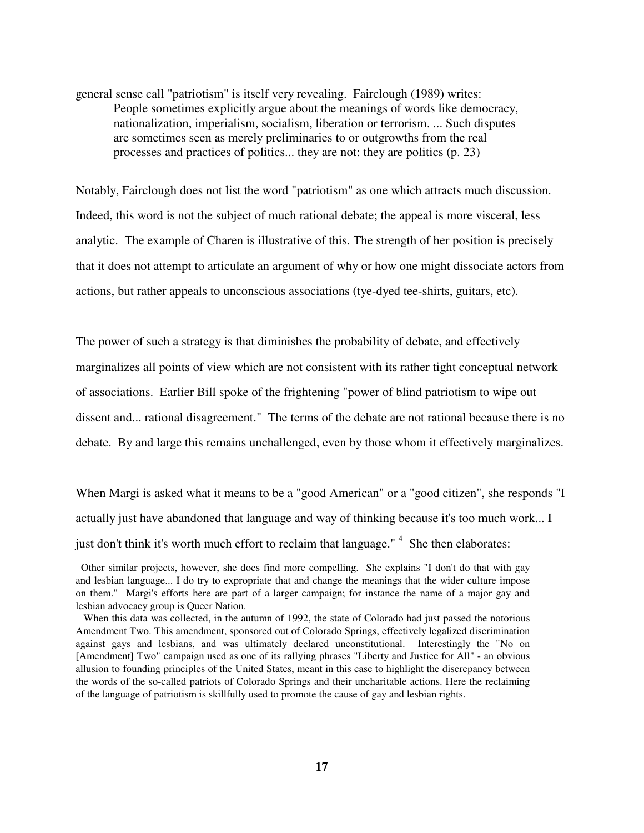general sense call "patriotism" is itself very revealing. Fairclough (1989) writes: People sometimes explicitly argue about the meanings of words like democracy, nationalization, imperialism, socialism, liberation or terrorism. ... Such disputes are sometimes seen as merely preliminaries to or outgrowths from the real processes and practices of politics... they are not: they are politics (p. 23)

Notably, Fairclough does not list the word "patriotism" as one which attracts much discussion. Indeed, this word is not the subject of much rational debate; the appeal is more visceral, less analytic. The example of Charen is illustrative of this. The strength of her position is precisely that it does not attempt to articulate an argument of why or how one might dissociate actors from actions, but rather appeals to unconscious associations (tye-dyed tee-shirts, guitars, etc).

The power of such a strategy is that diminishes the probability of debate, and effectively marginalizes all points of view which are not consistent with its rather tight conceptual network of associations. Earlier Bill spoke of the frightening "power of blind patriotism to wipe out dissent and... rational disagreement." The terms of the debate are not rational because there is no debate. By and large this remains unchallenged, even by those whom it effectively marginalizes.

When Margi is asked what it means to be a "good American" or a "good citizen", she responds "I actually just have abandoned that language and way of thinking because it's too much work... I just don't think it's worth much effort to reclaim that language."<sup>4</sup> She then elaborates:

Other similar projects, however, she does find more compelling. She explains "I don't do that with gay and lesbian language... I do try to expropriate that and change the meanings that the wider culture impose on them." Margi's efforts here are part of a larger campaign; for instance the name of a major gay and lesbian advocacy group is Queer Nation.

When this data was collected, in the autumn of 1992, the state of Colorado had just passed the notorious Amendment Two. This amendment, sponsored out of Colorado Springs, effectively legalized discrimination against gays and lesbians, and was ultimately declared unconstitutional. Interestingly the "No on [Amendment] Two" campaign used as one of its rallying phrases "Liberty and Justice for All" - an obvious allusion to founding principles of the United States, meant in this case to highlight the discrepancy between the words of the so-called patriots of Colorado Springs and their uncharitable actions. Here the reclaiming of the language of patriotism is skillfully used to promote the cause of gay and lesbian rights.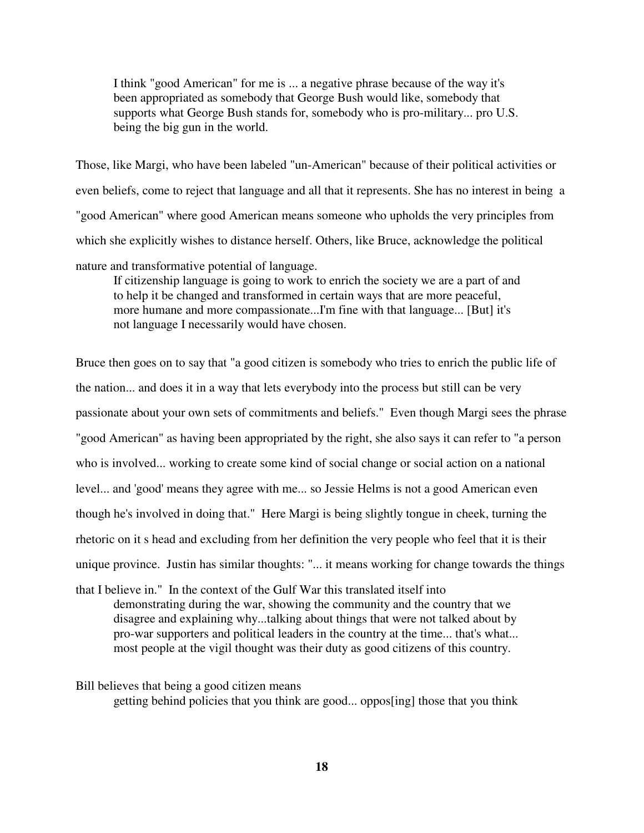I think "good American" for me is ... a negative phrase because of the way it's been appropriated as somebody that George Bush would like, somebody that supports what George Bush stands for, somebody who is pro-military... pro U.S. being the big gun in the world.

Those, like Margi, who have been labeled "un-American" because of their political activities or even beliefs, come to reject that language and all that it represents. She has no interest in being a "good American" where good American means someone who upholds the very principles from which she explicitly wishes to distance herself. Others, like Bruce, acknowledge the political nature and transformative potential of language.

 If citizenship language is going to work to enrich the society we are a part of and to help it be changed and transformed in certain ways that are more peaceful, more humane and more compassionate...I'm fine with that language... [But] it's not language I necessarily would have chosen.

Bruce then goes on to say that "a good citizen is somebody who tries to enrich the public life of the nation... and does it in a way that lets everybody into the process but still can be very passionate about your own sets of commitments and beliefs." Even though Margi sees the phrase "good American" as having been appropriated by the right, she also says it can refer to "a person who is involved... working to create some kind of social change or social action on a national level... and 'good' means they agree with me... so Jessie Helms is not a good American even though he's involved in doing that." Here Margi is being slightly tongue in cheek, turning the rhetoric on it s head and excluding from her definition the very people who feel that it is their unique province. Justin has similar thoughts: "... it means working for change towards the things

that I believe in." In the context of the Gulf War this translated itself into demonstrating during the war, showing the community and the country that we disagree and explaining why...talking about things that were not talked about by pro-war supporters and political leaders in the country at the time... that's what... most people at the vigil thought was their duty as good citizens of this country.

## Bill believes that being a good citizen means

getting behind policies that you think are good... oppos[ing] those that you think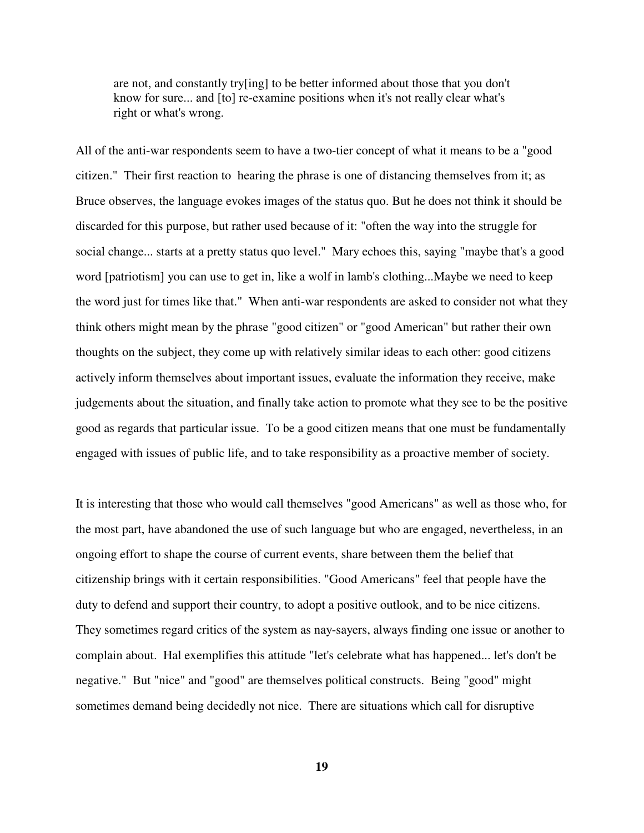are not, and constantly try[ing] to be better informed about those that you don't know for sure... and [to] re-examine positions when it's not really clear what's right or what's wrong.

All of the anti-war respondents seem to have a two-tier concept of what it means to be a "good citizen." Their first reaction to hearing the phrase is one of distancing themselves from it; as Bruce observes, the language evokes images of the status quo. But he does not think it should be discarded for this purpose, but rather used because of it: "often the way into the struggle for social change... starts at a pretty status quo level." Mary echoes this, saying "maybe that's a good word [patriotism] you can use to get in, like a wolf in lamb's clothing...Maybe we need to keep the word just for times like that." When anti-war respondents are asked to consider not what they think others might mean by the phrase "good citizen" or "good American" but rather their own thoughts on the subject, they come up with relatively similar ideas to each other: good citizens actively inform themselves about important issues, evaluate the information they receive, make judgements about the situation, and finally take action to promote what they see to be the positive good as regards that particular issue. To be a good citizen means that one must be fundamentally engaged with issues of public life, and to take responsibility as a proactive member of society.

It is interesting that those who would call themselves "good Americans" as well as those who, for the most part, have abandoned the use of such language but who are engaged, nevertheless, in an ongoing effort to shape the course of current events, share between them the belief that citizenship brings with it certain responsibilities. "Good Americans" feel that people have the duty to defend and support their country, to adopt a positive outlook, and to be nice citizens. They sometimes regard critics of the system as nay-sayers, always finding one issue or another to complain about. Hal exemplifies this attitude "let's celebrate what has happened... let's don't be negative." But "nice" and "good" are themselves political constructs. Being "good" might sometimes demand being decidedly not nice. There are situations which call for disruptive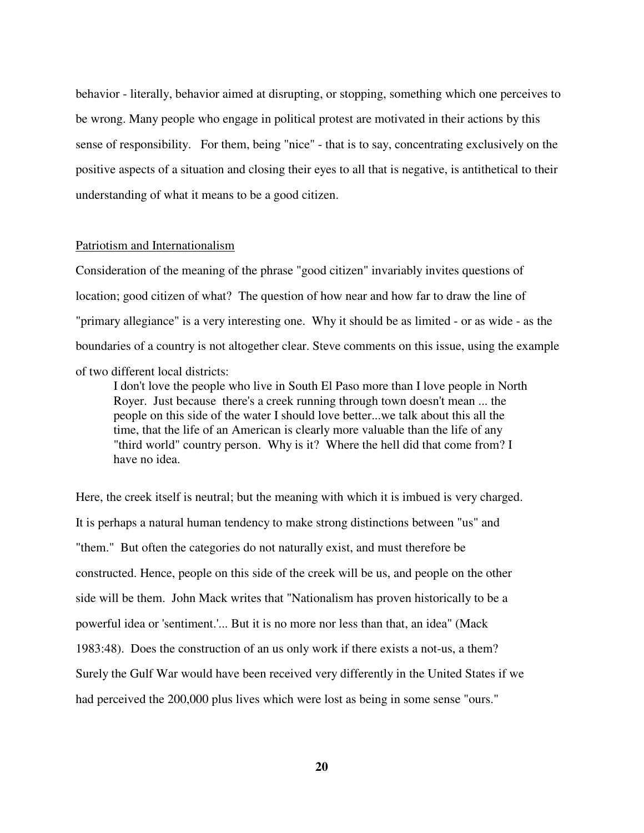behavior - literally, behavior aimed at disrupting, or stopping, something which one perceives to be wrong. Many people who engage in political protest are motivated in their actions by this sense of responsibility. For them, being "nice" - that is to say, concentrating exclusively on the positive aspects of a situation and closing their eyes to all that is negative, is antithetical to their understanding of what it means to be a good citizen.

### Patriotism and Internationalism

Consideration of the meaning of the phrase "good citizen" invariably invites questions of location; good citizen of what? The question of how near and how far to draw the line of "primary allegiance" is a very interesting one. Why it should be as limited - or as wide - as the boundaries of a country is not altogether clear. Steve comments on this issue, using the example of two different local districts:

 I don't love the people who live in South El Paso more than I love people in North Royer. Just because there's a creek running through town doesn't mean ... the people on this side of the water I should love better...we talk about this all the time, that the life of an American is clearly more valuable than the life of any "third world" country person. Why is it? Where the hell did that come from? I have no idea.

Here, the creek itself is neutral; but the meaning with which it is imbued is very charged. It is perhaps a natural human tendency to make strong distinctions between "us" and "them." But often the categories do not naturally exist, and must therefore be constructed. Hence, people on this side of the creek will be us, and people on the other side will be them. John Mack writes that "Nationalism has proven historically to be a powerful idea or 'sentiment.'... But it is no more nor less than that, an idea" (Mack 1983:48). Does the construction of an us only work if there exists a not-us, a them? Surely the Gulf War would have been received very differently in the United States if we had perceived the 200,000 plus lives which were lost as being in some sense "ours."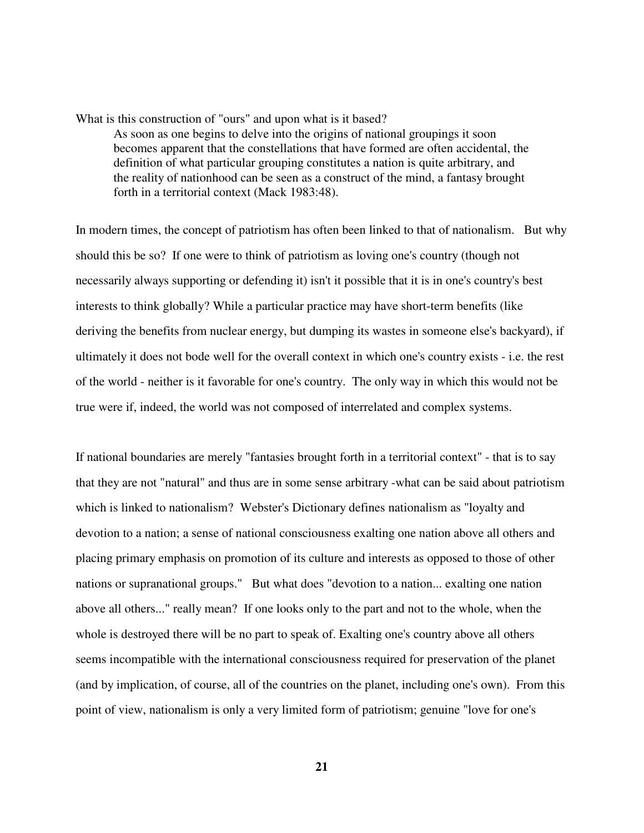What is this construction of "ours" and upon what is it based? As soon as one begins to delve into the origins of national groupings it soon becomes apparent that the constellations that have formed are often accidental, the definition of what particular grouping constitutes a nation is quite arbitrary, and the reality of nationhood can be seen as a construct of the mind, a fantasy brought forth in a territorial context (Mack 1983:48).

In modern times, the concept of patriotism has often been linked to that of nationalism. But why should this be so? If one were to think of patriotism as loving one's country (though not necessarily always supporting or defending it) isn't it possible that it is in one's country's best interests to think globally? While a particular practice may have short-term benefits (like deriving the benefits from nuclear energy, but dumping its wastes in someone else's backyard), if ultimately it does not bode well for the overall context in which one's country exists - i.e. the rest of the world - neither is it favorable for one's country. The only way in which this would not be true were if, indeed, the world was not composed of interrelated and complex systems.

If national boundaries are merely "fantasies brought forth in a territorial context" - that is to say that they are not "natural" and thus are in some sense arbitrary -what can be said about patriotism which is linked to nationalism? Webster's Dictionary defines nationalism as "loyalty and devotion to a nation; a sense of national consciousness exalting one nation above all others and placing primary emphasis on promotion of its culture and interests as opposed to those of other nations or supranational groups." But what does "devotion to a nation... exalting one nation above all others..." really mean? If one looks only to the part and not to the whole, when the whole is destroyed there will be no part to speak of. Exalting one's country above all others seems incompatible with the international consciousness required for preservation of the planet (and by implication, of course, all of the countries on the planet, including one's own). From this point of view, nationalism is only a very limited form of patriotism; genuine "love for one's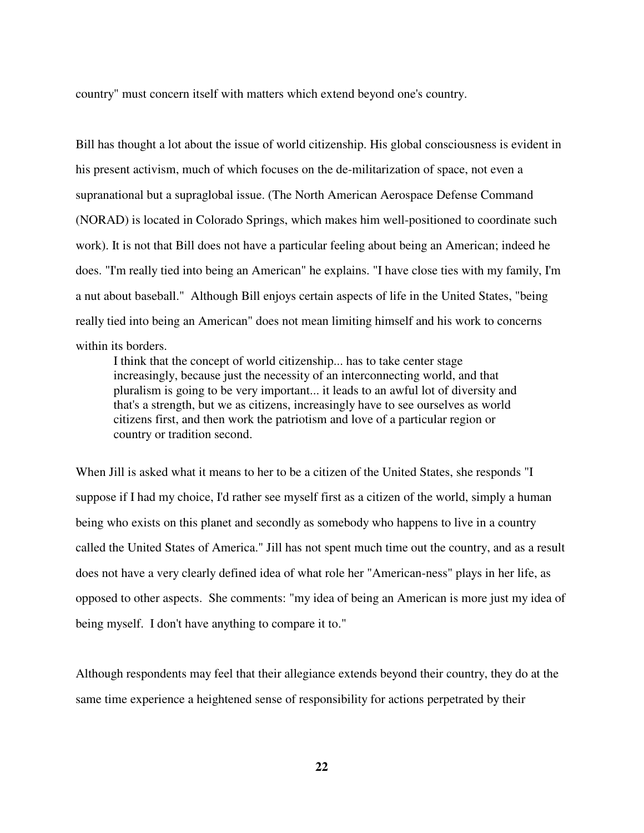country" must concern itself with matters which extend beyond one's country.

Bill has thought a lot about the issue of world citizenship. His global consciousness is evident in his present activism, much of which focuses on the de-militarization of space, not even a supranational but a supraglobal issue. (The North American Aerospace Defense Command (NORAD) is located in Colorado Springs, which makes him well-positioned to coordinate such work). It is not that Bill does not have a particular feeling about being an American; indeed he does. "I'm really tied into being an American" he explains. "I have close ties with my family, I'm a nut about baseball." Although Bill enjoys certain aspects of life in the United States, "being really tied into being an American" does not mean limiting himself and his work to concerns within its borders.

 I think that the concept of world citizenship... has to take center stage increasingly, because just the necessity of an interconnecting world, and that pluralism is going to be very important... it leads to an awful lot of diversity and that's a strength, but we as citizens, increasingly have to see ourselves as world citizens first, and then work the patriotism and love of a particular region or country or tradition second.

When Jill is asked what it means to her to be a citizen of the United States, she responds "I suppose if I had my choice, I'd rather see myself first as a citizen of the world, simply a human being who exists on this planet and secondly as somebody who happens to live in a country called the United States of America." Jill has not spent much time out the country, and as a result does not have a very clearly defined idea of what role her "American-ness" plays in her life, as opposed to other aspects. She comments: "my idea of being an American is more just my idea of being myself. I don't have anything to compare it to."

Although respondents may feel that their allegiance extends beyond their country, they do at the same time experience a heightened sense of responsibility for actions perpetrated by their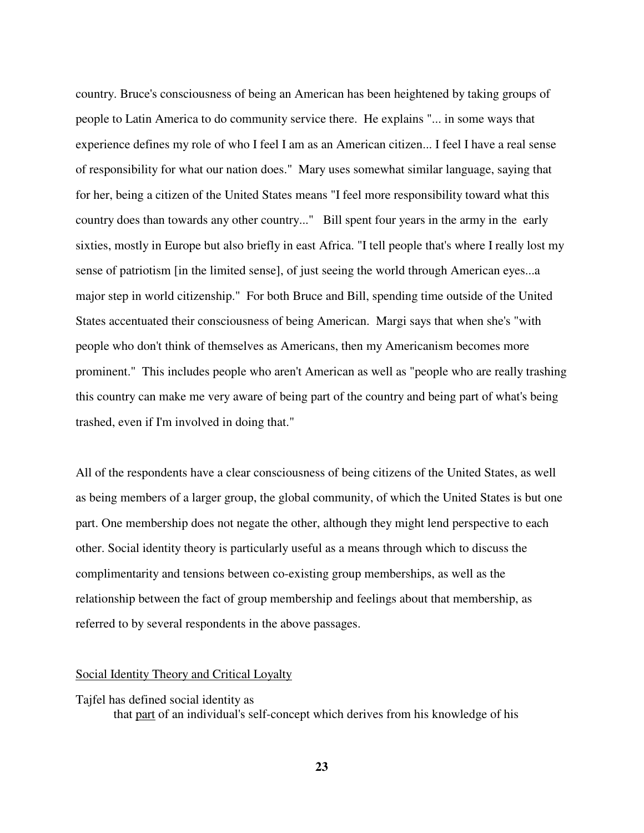country. Bruce's consciousness of being an American has been heightened by taking groups of people to Latin America to do community service there. He explains "... in some ways that experience defines my role of who I feel I am as an American citizen... I feel I have a real sense of responsibility for what our nation does." Mary uses somewhat similar language, saying that for her, being a citizen of the United States means "I feel more responsibility toward what this country does than towards any other country..." Bill spent four years in the army in the early sixties, mostly in Europe but also briefly in east Africa. "I tell people that's where I really lost my sense of patriotism [in the limited sense], of just seeing the world through American eyes...a major step in world citizenship." For both Bruce and Bill, spending time outside of the United States accentuated their consciousness of being American. Margi says that when she's "with people who don't think of themselves as Americans, then my Americanism becomes more prominent." This includes people who aren't American as well as "people who are really trashing this country can make me very aware of being part of the country and being part of what's being trashed, even if I'm involved in doing that."

All of the respondents have a clear consciousness of being citizens of the United States, as well as being members of a larger group, the global community, of which the United States is but one part. One membership does not negate the other, although they might lend perspective to each other. Social identity theory is particularly useful as a means through which to discuss the complimentarity and tensions between co-existing group memberships, as well as the relationship between the fact of group membership and feelings about that membership, as referred to by several respondents in the above passages.

## Social Identity Theory and Critical Loyalty

Tajfel has defined social identity as that part of an individual's self-concept which derives from his knowledge of his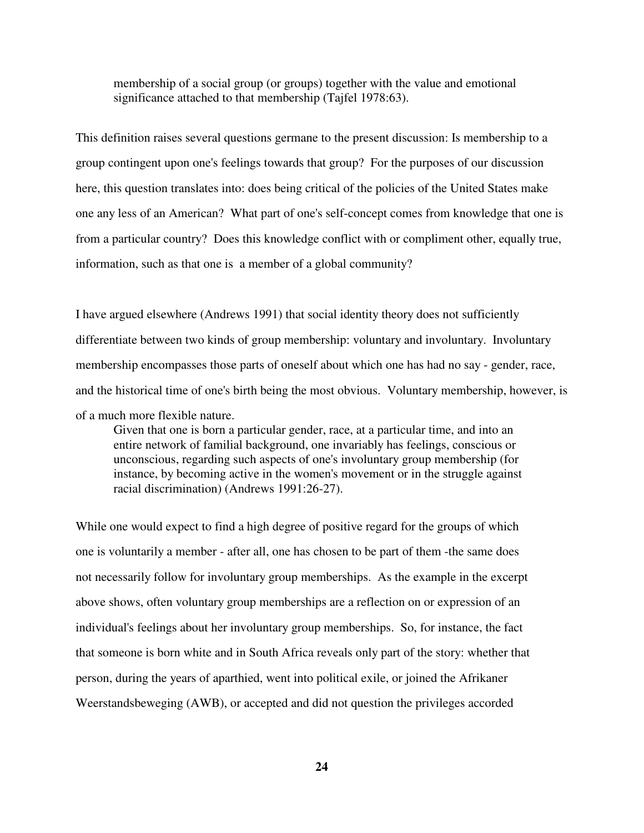membership of a social group (or groups) together with the value and emotional significance attached to that membership (Tajfel 1978:63).

This definition raises several questions germane to the present discussion: Is membership to a group contingent upon one's feelings towards that group? For the purposes of our discussion here, this question translates into: does being critical of the policies of the United States make one any less of an American? What part of one's self-concept comes from knowledge that one is from a particular country? Does this knowledge conflict with or compliment other, equally true, information, such as that one is a member of a global community?

I have argued elsewhere (Andrews 1991) that social identity theory does not sufficiently differentiate between two kinds of group membership: voluntary and involuntary. Involuntary membership encompasses those parts of oneself about which one has had no say - gender, race, and the historical time of one's birth being the most obvious. Voluntary membership, however, is of a much more flexible nature.

 Given that one is born a particular gender, race, at a particular time, and into an entire network of familial background, one invariably has feelings, conscious or unconscious, regarding such aspects of one's involuntary group membership (for instance, by becoming active in the women's movement or in the struggle against racial discrimination) (Andrews 1991:26-27).

While one would expect to find a high degree of positive regard for the groups of which one is voluntarily a member - after all, one has chosen to be part of them -the same does not necessarily follow for involuntary group memberships. As the example in the excerpt above shows, often voluntary group memberships are a reflection on or expression of an individual's feelings about her involuntary group memberships. So, for instance, the fact that someone is born white and in South Africa reveals only part of the story: whether that person, during the years of aparthied, went into political exile, or joined the Afrikaner Weerstandsbeweging (AWB), or accepted and did not question the privileges accorded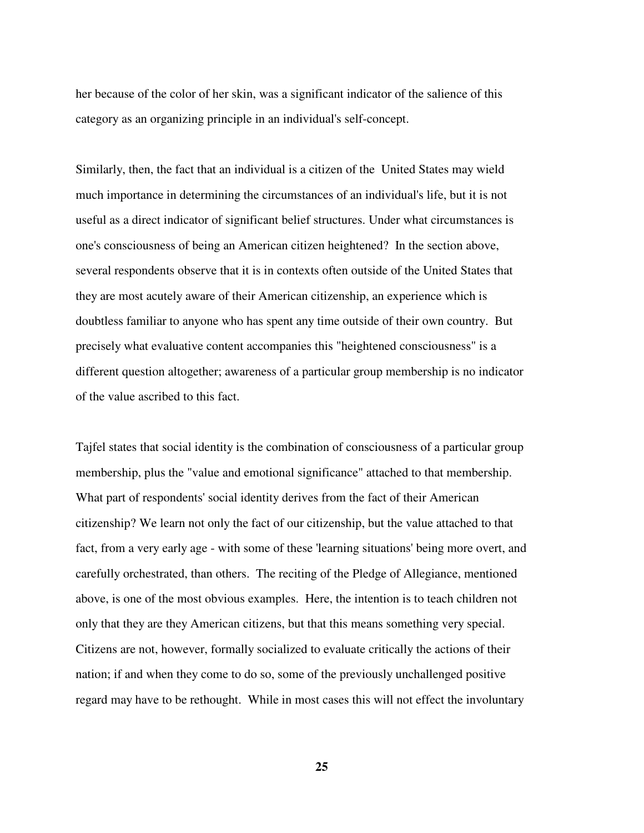her because of the color of her skin, was a significant indicator of the salience of this category as an organizing principle in an individual's self-concept.

Similarly, then, the fact that an individual is a citizen of the United States may wield much importance in determining the circumstances of an individual's life, but it is not useful as a direct indicator of significant belief structures. Under what circumstances is one's consciousness of being an American citizen heightened? In the section above, several respondents observe that it is in contexts often outside of the United States that they are most acutely aware of their American citizenship, an experience which is doubtless familiar to anyone who has spent any time outside of their own country. But precisely what evaluative content accompanies this "heightened consciousness" is a different question altogether; awareness of a particular group membership is no indicator of the value ascribed to this fact.

Tajfel states that social identity is the combination of consciousness of a particular group membership, plus the "value and emotional significance" attached to that membership. What part of respondents' social identity derives from the fact of their American citizenship? We learn not only the fact of our citizenship, but the value attached to that fact, from a very early age - with some of these 'learning situations' being more overt, and carefully orchestrated, than others. The reciting of the Pledge of Allegiance, mentioned above, is one of the most obvious examples. Here, the intention is to teach children not only that they are they American citizens, but that this means something very special. Citizens are not, however, formally socialized to evaluate critically the actions of their nation; if and when they come to do so, some of the previously unchallenged positive regard may have to be rethought. While in most cases this will not effect the involuntary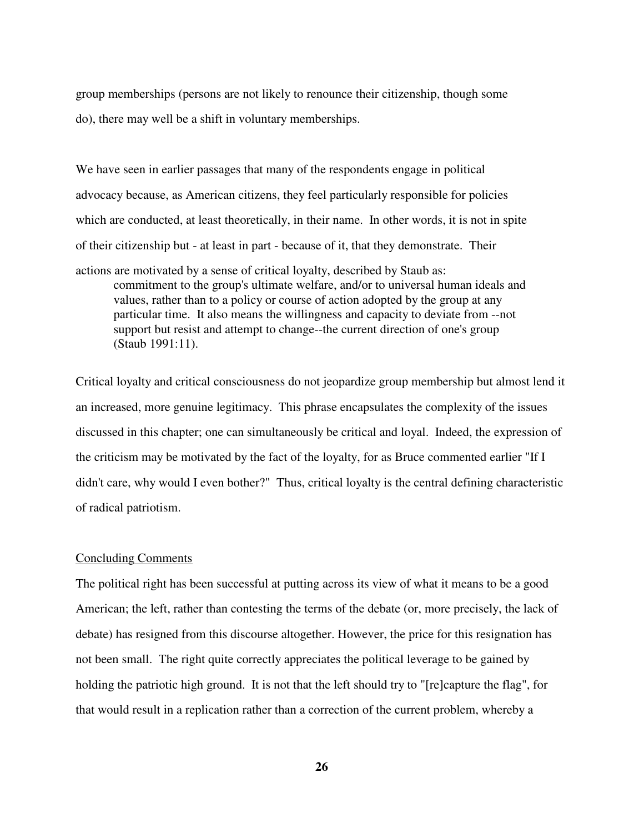group memberships (persons are not likely to renounce their citizenship, though some do), there may well be a shift in voluntary memberships.

We have seen in earlier passages that many of the respondents engage in political advocacy because, as American citizens, they feel particularly responsible for policies which are conducted, at least theoretically, in their name. In other words, it is not in spite of their citizenship but - at least in part - because of it, that they demonstrate. Their actions are motivated by a sense of critical loyalty, described by Staub as: commitment to the group's ultimate welfare, and/or to universal human ideals and values, rather than to a policy or course of action adopted by the group at any particular time. It also means the willingness and capacity to deviate from --not support but resist and attempt to change--the current direction of one's group (Staub 1991:11).

Critical loyalty and critical consciousness do not jeopardize group membership but almost lend it an increased, more genuine legitimacy. This phrase encapsulates the complexity of the issues discussed in this chapter; one can simultaneously be critical and loyal. Indeed, the expression of the criticism may be motivated by the fact of the loyalty, for as Bruce commented earlier "If I didn't care, why would I even bother?" Thus, critical loyalty is the central defining characteristic of radical patriotism.

#### Concluding Comments

The political right has been successful at putting across its view of what it means to be a good American; the left, rather than contesting the terms of the debate (or, more precisely, the lack of debate) has resigned from this discourse altogether. However, the price for this resignation has not been small. The right quite correctly appreciates the political leverage to be gained by holding the patriotic high ground. It is not that the left should try to "[re]capture the flag", for that would result in a replication rather than a correction of the current problem, whereby a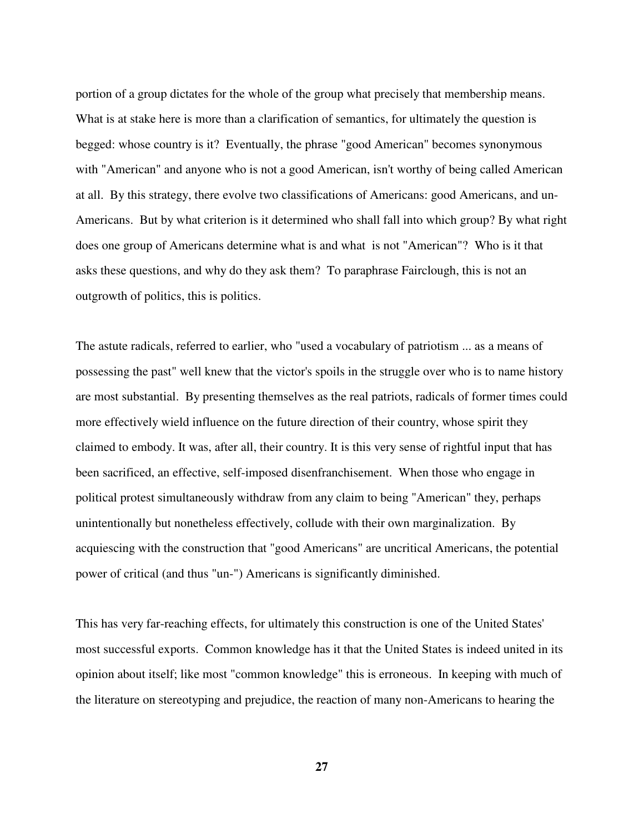portion of a group dictates for the whole of the group what precisely that membership means. What is at stake here is more than a clarification of semantics, for ultimately the question is begged: whose country is it? Eventually, the phrase "good American" becomes synonymous with "American" and anyone who is not a good American, isn't worthy of being called American at all. By this strategy, there evolve two classifications of Americans: good Americans, and un-Americans. But by what criterion is it determined who shall fall into which group? By what right does one group of Americans determine what is and what is not "American"? Who is it that asks these questions, and why do they ask them? To paraphrase Fairclough, this is not an outgrowth of politics, this is politics.

The astute radicals, referred to earlier, who "used a vocabulary of patriotism ... as a means of possessing the past" well knew that the victor's spoils in the struggle over who is to name history are most substantial. By presenting themselves as the real patriots, radicals of former times could more effectively wield influence on the future direction of their country, whose spirit they claimed to embody. It was, after all, their country. It is this very sense of rightful input that has been sacrificed, an effective, self-imposed disenfranchisement. When those who engage in political protest simultaneously withdraw from any claim to being "American" they, perhaps unintentionally but nonetheless effectively, collude with their own marginalization. By acquiescing with the construction that "good Americans" are uncritical Americans, the potential power of critical (and thus "un-") Americans is significantly diminished.

This has very far-reaching effects, for ultimately this construction is one of the United States' most successful exports. Common knowledge has it that the United States is indeed united in its opinion about itself; like most "common knowledge" this is erroneous. In keeping with much of the literature on stereotyping and prejudice, the reaction of many non-Americans to hearing the

**27**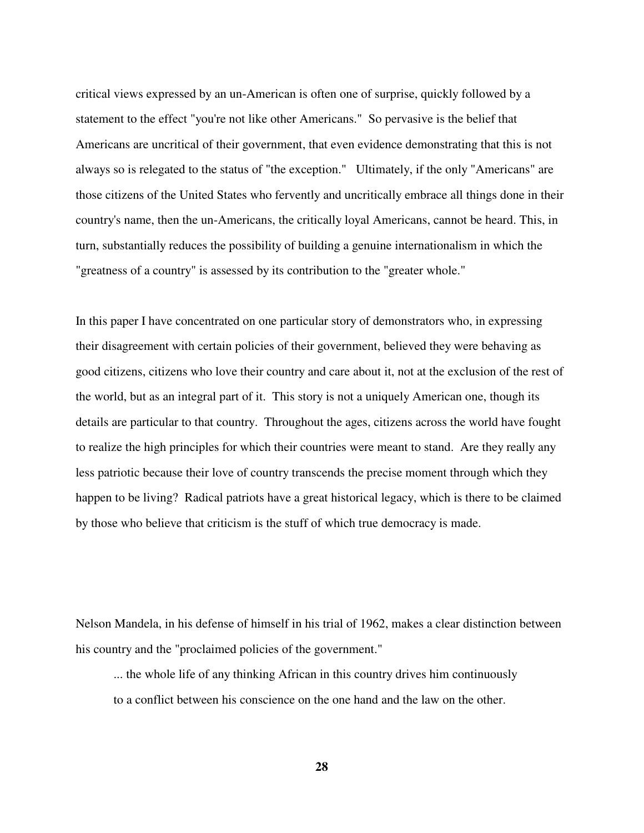critical views expressed by an un-American is often one of surprise, quickly followed by a statement to the effect "you're not like other Americans." So pervasive is the belief that Americans are uncritical of their government, that even evidence demonstrating that this is not always so is relegated to the status of "the exception." Ultimately, if the only "Americans" are those citizens of the United States who fervently and uncritically embrace all things done in their country's name, then the un-Americans, the critically loyal Americans, cannot be heard. This, in turn, substantially reduces the possibility of building a genuine internationalism in which the "greatness of a country" is assessed by its contribution to the "greater whole."

In this paper I have concentrated on one particular story of demonstrators who, in expressing their disagreement with certain policies of their government, believed they were behaving as good citizens, citizens who love their country and care about it, not at the exclusion of the rest of the world, but as an integral part of it. This story is not a uniquely American one, though its details are particular to that country. Throughout the ages, citizens across the world have fought to realize the high principles for which their countries were meant to stand. Are they really any less patriotic because their love of country transcends the precise moment through which they happen to be living? Radical patriots have a great historical legacy, which is there to be claimed by those who believe that criticism is the stuff of which true democracy is made.

Nelson Mandela, in his defense of himself in his trial of 1962, makes a clear distinction between his country and the "proclaimed policies of the government."

 ... the whole life of any thinking African in this country drives him continuously to a conflict between his conscience on the one hand and the law on the other.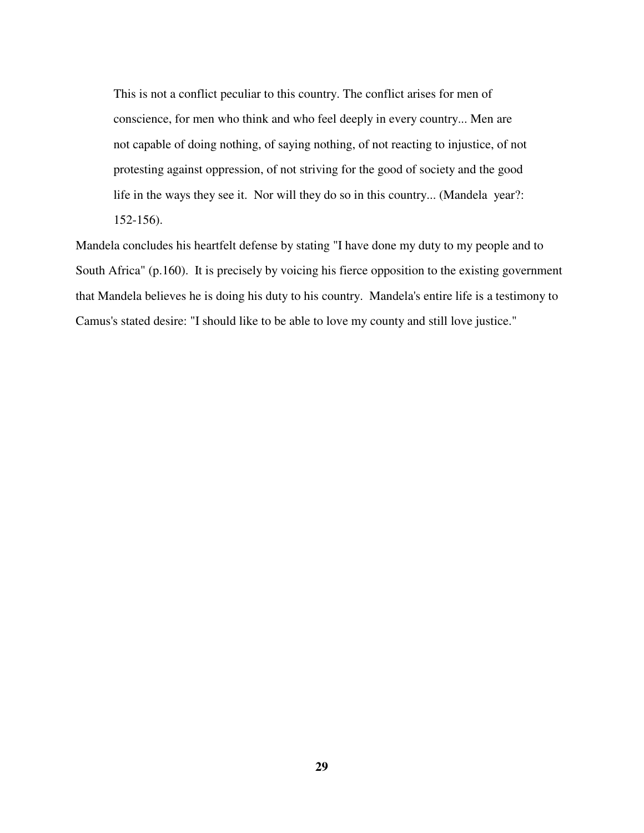This is not a conflict peculiar to this country. The conflict arises for men of conscience, for men who think and who feel deeply in every country... Men are not capable of doing nothing, of saying nothing, of not reacting to injustice, of not protesting against oppression, of not striving for the good of society and the good life in the ways they see it. Nor will they do so in this country... (Mandela year?: 152-156).

Mandela concludes his heartfelt defense by stating "I have done my duty to my people and to South Africa" (p.160). It is precisely by voicing his fierce opposition to the existing government that Mandela believes he is doing his duty to his country. Mandela's entire life is a testimony to Camus's stated desire: "I should like to be able to love my county and still love justice."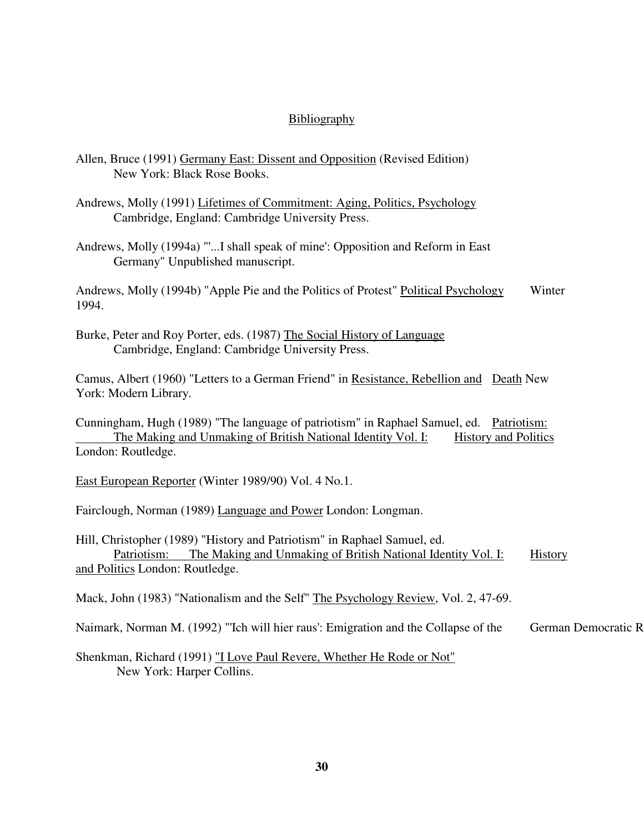# **Bibliography**

| Allen, Bruce (1991) Germany East: Dissent and Opposition (Revised Edition)<br>New York: Black Rose Books.                                                                                                    |
|--------------------------------------------------------------------------------------------------------------------------------------------------------------------------------------------------------------|
| Andrews, Molly (1991) Lifetimes of Commitment: Aging, Politics, Psychology<br>Cambridge, England: Cambridge University Press.                                                                                |
| Andrews, Molly (1994a) "'I shall speak of mine': Opposition and Reform in East<br>Germany" Unpublished manuscript.                                                                                           |
| Andrews, Molly (1994b) "Apple Pie and the Politics of Protest" Political Psychology<br>Winter<br>1994.                                                                                                       |
| Burke, Peter and Roy Porter, eds. (1987) The Social History of Language<br>Cambridge, England: Cambridge University Press.                                                                                   |
| Camus, Albert (1960) "Letters to a German Friend" in Resistance, Rebellion and Death New<br>York: Modern Library.                                                                                            |
| Cunningham, Hugh (1989) "The language of patriotism" in Raphael Samuel, ed. Patriotism:<br>The Making and Unmaking of British National Identity Vol. I:<br><b>History and Politics</b>                       |
| London: Routledge.                                                                                                                                                                                           |
| East European Reporter (Winter 1989/90) Vol. 4 No.1.                                                                                                                                                         |
| Fairclough, Norman (1989) Language and Power London: Longman.                                                                                                                                                |
| Hill, Christopher (1989) "History and Patriotism" in Raphael Samuel, ed.<br>The Making and Unmaking of British National Identity Vol. I:<br>Patriotism:<br><b>History</b><br>and Politics London: Routledge. |
| Mack, John (1983) "Nationalism and the Self" The Psychology Review, Vol. 2, 47-69.                                                                                                                           |
| German Democratic R<br>Naimark, Norman M. (1992) "Ich will hier raus': Emigration and the Collapse of the                                                                                                    |
| Shenkman, Richard (1991) "I Love Paul Revere, Whether He Rode or Not"<br>New York: Harper Collins.                                                                                                           |
|                                                                                                                                                                                                              |